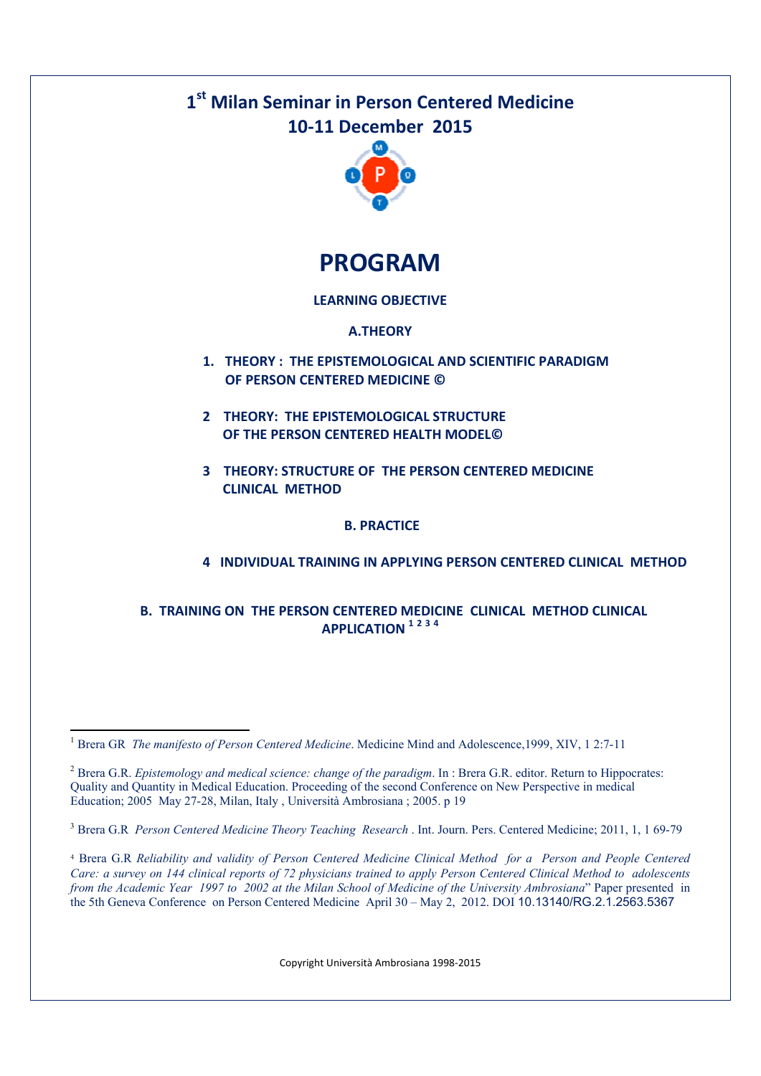## **1 st Milan Seminar in Person Centered Medicine 10-11 December 2015**



**PROGRAM** 

## **LEARNING OBJECTIVE**

#### **A.THEORY**

- **1. THEORY : THE EPISTEMOLOGICAL AND SCIENTIFIC PARADIGM OF PERSON CENTERED MEDICINE ©**
- **2 THEORY: THE EPISTEMOLOGICAL STRUCTURE OF THE PERSON CENTERED HEALTH MODEL©**
- **3 THEORY: STRUCTURE OF THE PERSON CENTERED MEDICINE CLINICAL METHOD**

## **B. PRACTICE**

## **4 INDIVIDUAL TRAINING IN APPLYING PERSON CENTERED CLINICAL METHOD**

#### **B. TRAINING ON THE PERSON CENTERED MEDICINE CLINICAL METHOD CLINICAL APPLICATION <sup>1</sup> <sup>2</sup> <sup>3</sup> <sup>4</sup>**

-

<sup>3</sup> Brera G.R *Person Centered Medicine Theory Teaching Research* . Int. Journ. Pers. Centered Medicine; 2011, 1, 1 69-79

<sup>4</sup> Brera G.R *Reliability and validity of Person Centered Medicine Clinical Method for a Person and People Centered Care: a survey on 144 clinical reports of 72 physicians trained to apply Person Centered Clinical Method to adolescents from the Academic Year 1997 to 2002 at the Milan School of Medicine of the University Ambrosiana*" Paper presented in the 5th Geneva Conference on Person Centered Medicine April 30 – May 2, 2012. DOI 10.13140/RG.2.1.2563.5367

Copyright Università Ambrosiana 1998-2015

<sup>&</sup>lt;sup>1</sup> Brera GR *The manifesto of Person Centered Medicine*. Medicine Mind and Adolescence,1999, XIV, 1 2:7-11

<sup>2</sup> Brera G.R. *Epistemology and medical science: change of the paradigm*. In : Brera G.R. editor. Return to Hippocrates: Quality and Quantity in Medical Education. Proceeding of the second Conference on New Perspective in medical Education; 2005 May 27-28, Milan, Italy , Università Ambrosiana ; 2005. p 19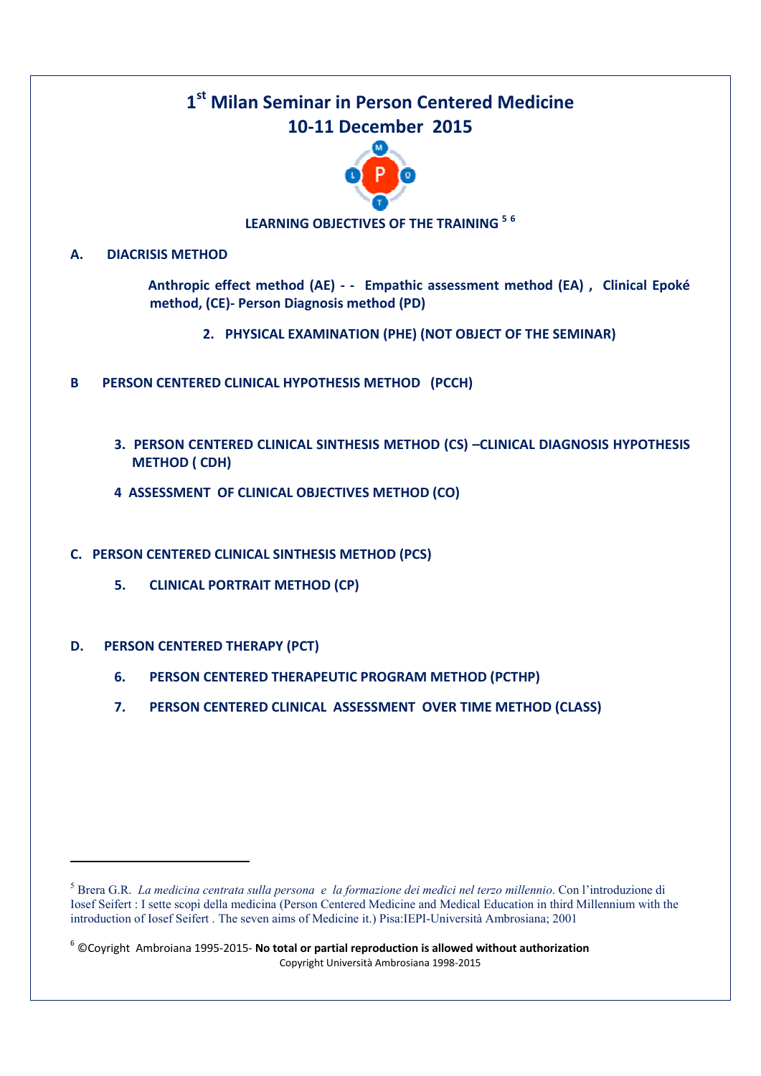## **1 st Milan Seminar in Person Centered Medicine 10-11 December 2015**



## **LEARNING OBJECTIVES OF THE TRAINING <sup>5</sup> <sup>6</sup>**

#### **A. DIACRISIS METHOD**

 **Anthropic effect method (AE) - - Empathic assessment method (EA) , Clinical Epoké method, (CE)- Person Diagnosis method (PD)** 

- **2. PHYSICAL EXAMINATION (PHE) (NOT OBJECT OF THE SEMINAR)**
- **B PERSON CENTERED CLINICAL HYPOTHESIS METHOD (PCCH)** 
	- **3. PERSON CENTERED CLINICAL SINTHESIS METHOD (CS) –CLINICAL DIAGNOSIS HYPOTHESIS METHOD ( CDH)**
	- **4 ASSESSMENT OF CLINICAL OBJECTIVES METHOD (CO)**
- **C. PERSON CENTERED CLINICAL SINTHESIS METHOD (PCS)** 
	- **5. CLINICAL PORTRAIT METHOD (CP)**
- **D. PERSON CENTERED THERAPY (PCT)**

<u>.</u>

- **6. PERSON CENTERED THERAPEUTIC PROGRAM METHOD (PCTHP)**
- **7. PERSON CENTERED CLINICAL ASSESSMENT OVER TIME METHOD (CLASS)**

Copyright Università Ambrosiana 1998-2015 6 ©Coyright Ambroiana 1995-2015- **No total or partial reproduction is allowed without authorization**

<sup>5</sup> Brera G.R. *La medicina centrata sulla persona e la formazione dei medici nel terzo millennio*. Con l'introduzione di Iosef Seifert : I sette scopi della medicina (Person Centered Medicine and Medical Education in third Millennium with the introduction of Iosef Seifert . The seven aims of Medicine it.) Pisa:IEPI-Università Ambrosiana; 2001